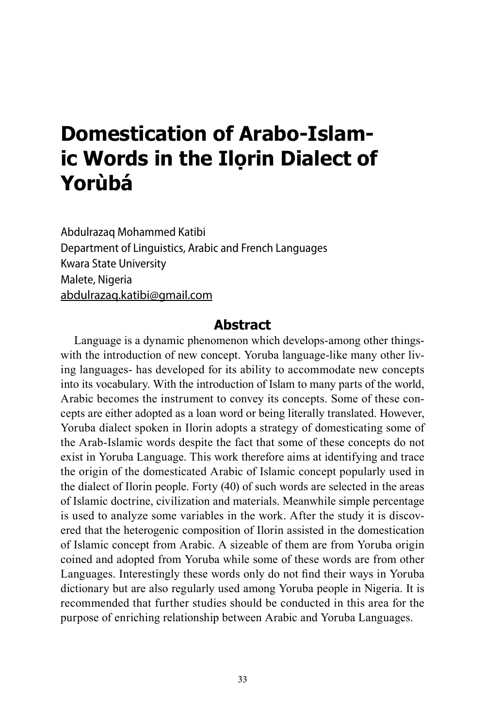# **Domestication of Arabo-Islamic Words in the Ilọrin Dialect of Yorùbá**

Abdulrazaq Mohammed Katibi Department of Linguistics, Arabic and French Languages Kwara State University Malete, Nigeria abdulrazaq.katibi@gmail.com

#### **Abstract**

Language is a dynamic phenomenon which develops-among other thingswith the introduction of new concept. Yoruba language-like many other living languages- has developed for its ability to accommodate new concepts into its vocabulary. With the introduction of Islam to many parts of the world, Arabic becomes the instrument to convey its concepts. Some of these concepts are either adopted as a loan word or being literally translated. However, Yoruba dialect spoken in Ilorin adopts a strategy of domesticating some of the Arab-Islamic words despite the fact that some of these concepts do not exist in Yoruba Language. This work therefore aims at identifying and trace the origin of the domesticated Arabic of Islamic concept popularly used in the dialect of Ilorin people. Forty (40) of such words are selected in the areas of Islamic doctrine, civilization and materials. Meanwhile simple percentage is used to analyze some variables in the work. After the study it is discovered that the heterogenic composition of Ilorin assisted in the domestication of Islamic concept from Arabic. A sizeable of them are from Yoruba origin coined and adopted from Yoruba while some of these words are from other Languages. Interestingly these words only do not find their ways in Yoruba dictionary but are also regularly used among Yoruba people in Nigeria. It is recommended that further studies should be conducted in this area for the purpose of enriching relationship between Arabic and Yoruba Languages.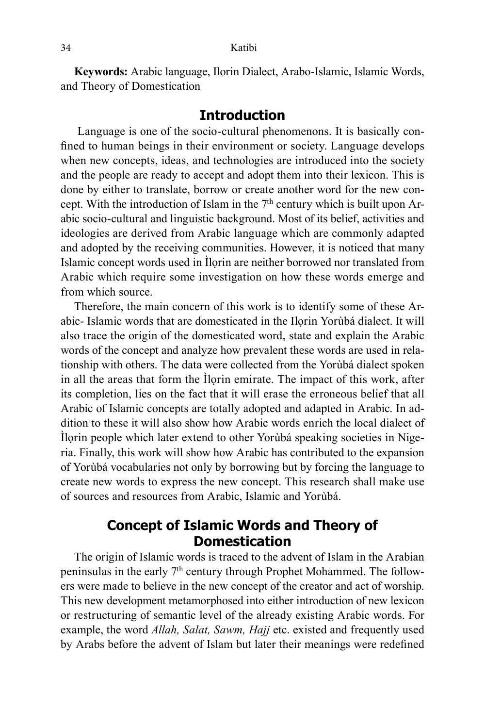**Keywords:** Arabic language, Ilorin Dialect, Arabo-Islamic, Islamic Words, and Theory of Domestication

#### **Introduction**

 Language is one of the socio-cultural phenomenons. It is basically confined to human beings in their environment or society. Language develops when new concepts, ideas, and technologies are introduced into the society and the people are ready to accept and adopt them into their lexicon. This is done by either to translate, borrow or create another word for the new concept. With the introduction of Islam in the  $7<sup>th</sup>$  century which is built upon Arabic socio-cultural and linguistic background. Most of its belief, activities and ideologies are derived from Arabic language which are commonly adapted and adopted by the receiving communities. However, it is noticed that many Islamic concept words used in Ìlọrin are neither borrowed nor translated from Arabic which require some investigation on how these words emerge and from which source.

Therefore, the main concern of this work is to identify some of these Arabic- Islamic words that are domesticated in the Ilọrin Yorùbá dialect. It will also trace the origin of the domesticated word, state and explain the Arabic words of the concept and analyze how prevalent these words are used in relationship with others. The data were collected from the Yorùbá dialect spoken in all the areas that form the Ilorin emirate. The impact of this work, after its completion, lies on the fact that it will erase the erroneous belief that all Arabic of Islamic concepts are totally adopted and adapted in Arabic. In addition to these it will also show how Arabic words enrich the local dialect of Ìlọrin people which later extend to other Yorùbá speaking societies in Nigeria. Finally, this work will show how Arabic has contributed to the expansion of Yorùbá vocabularies not only by borrowing but by forcing the language to create new words to express the new concept. This research shall make use of sources and resources from Arabic, Islamic and Yorùbá.

## **Concept of Islamic Words and Theory of Domestication**

The origin of Islamic words is traced to the advent of Islam in the Arabian peninsulas in the early 7<sup>th</sup> century through Prophet Mohammed. The followers were made to believe in the new concept of the creator and act of worship. This new development metamorphosed into either introduction of new lexicon or restructuring of semantic level of the already existing Arabic words. For example, the word *Allah, Salat, Sawm, Hajj* etc. existed and frequently used by Arabs before the advent of Islam but later their meanings were redefined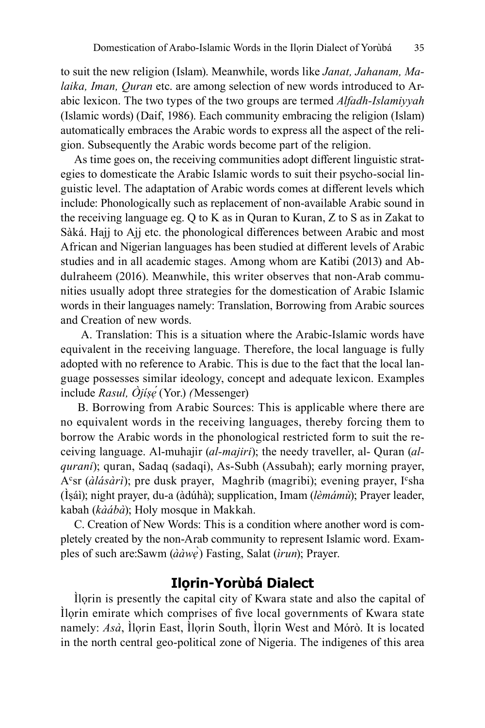to suit the new religion (Islam). Meanwhile, words like *Janat, Jahanam, Malaika, Iman, Quran* etc. are among selection of new words introduced to Arabic lexicon. The two types of the two groups are termed *Alfadh-Islamiyyah* (Islamic words) (Daif, 1986). Each community embracing the religion (Islam) automatically embraces the Arabic words to express all the aspect of the religion. Subsequently the Arabic words become part of the religion.

As time goes on, the receiving communities adopt different linguistic strategies to domesticate the Arabic Islamic words to suit their psycho-social linguistic level. The adaptation of Arabic words comes at different levels which include: Phonologically such as replacement of non-available Arabic sound in the receiving language eg. Q to K as in Quran to Kuran, Z to S as in Zakat to Sàká. Hajj to Ajj etc. the phonological differences between Arabic and most African and Nigerian languages has been studied at different levels of Arabic studies and in all academic stages. Among whom are Katibi (2013) and Abdulraheem (2016). Meanwhile, this writer observes that non-Arab communities usually adopt three strategies for the domestication of Arabic Islamic words in their languages namely: Translation, Borrowing from Arabic sources and Creation of new words.

A. Translation: This is a situation where the Arabic-Islamic words have equivalent in the receiving language. Therefore, the local language is fully adopted with no reference to Arabic. This is due to the fact that the local language possesses similar ideology, concept and adequate lexicon. Examples include *Rasul, Òjíṣẹ́* (Yor.) *(*Messenger)

B. Borrowing from Arabic Sources: This is applicable where there are no equivalent words in the receiving languages, thereby forcing them to borrow the Arabic words in the phonological restricted form to suit the receiving language. Al-muhajir (*al-majiri*); the needy traveller, al- Quran (*alqurani*); quran, Sadaq (sadaqi), As-Subh (Assubah); early morning prayer, A°sr (*àlásàrì*); pre dusk prayer, Maghrib (magribi); evening prayer, I°sha (Ìṣáì); night prayer, du-a (àdúhà); supplication, Imam (*lèmámù*); Prayer leader, kabah (*kàábà*); Holy mosque in Makkah.

C. Creation of New Words: This is a condition where another word is completely created by the non-Arab community to represent Islamic word. Examples of such are:Sawm (*ààwẹ*̀) Fasting, Salat (*ìrun*); Prayer.

### **Ilọrin-Yorùbá Dialect**

Ìlọrin is presently the capital city of Kwara state and also the capital of Ìlọrin emirate which comprises of five local governments of Kwara state namely: *Asà*, Ìlọrin East, Ìlọrin South, Ìlọrin West and Mórò. It is located in the north central geo-political zone of Nigeria. The indigenes of this area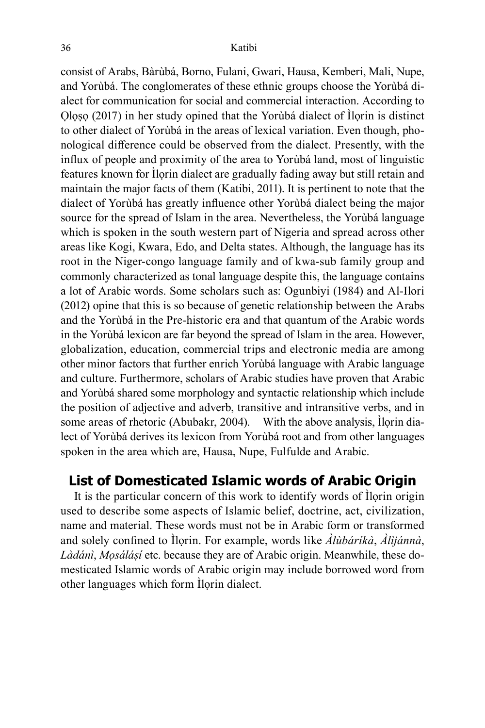consist of Arabs, Bàrùbá, Borno, Fulani, Gwari, Hausa, Kemberi, Mali, Nupe, and Yorùbá. The conglomerates of these ethnic groups choose the Yorùbá dialect for communication for social and commercial interaction. According to Ọlọṣọ (2017) in her study opined that the Yorùbá dialect of Ìlọrin is distinct to other dialect of Yorùbá in the areas of lexical variation. Even though, phonological difference could be observed from the dialect. Presently, with the influx of people and proximity of the area to Yorùbá land, most of linguistic features known for Ìlọrin dialect are gradually fading away but still retain and maintain the major facts of them (Katibi, 2011). It is pertinent to note that the dialect of Yorùbá has greatly influence other Yorùbá dialect being the major source for the spread of Islam in the area. Nevertheless, the Yorùbá language which is spoken in the south western part of Nigeria and spread across other areas like Kogi, Kwara, Edo, and Delta states. Although, the language has its root in the Niger-congo language family and of kwa-sub family group and commonly characterized as tonal language despite this, the language contains a lot of Arabic words. Some scholars such as: Ogunbiyi (1984) and Al-Ilori (2012) opine that this is so because of genetic relationship between the Arabs and the Yorùbá in the Pre-historic era and that quantum of the Arabic words in the Yorùbá lexicon are far beyond the spread of Islam in the area. However, globalization, education, commercial trips and electronic media are among other minor factors that further enrich Yorùbá language with Arabic language and culture. Furthermore, scholars of Arabic studies have proven that Arabic and Yorùbá shared some morphology and syntactic relationship which include the position of adjective and adverb, transitive and intransitive verbs, and in some areas of rhetoric (Abubakr, 2004). With the above analysis, Ilorin dialect of Yorùbá derives its lexicon from Yorùbá root and from other languages spoken in the area which are, Hausa, Nupe, Fulfulde and Arabic.

## **List of Domesticated Islamic words of Arabic Origin**

It is the particular concern of this work to identify words of Ìlọrin origin used to describe some aspects of Islamic belief, doctrine, act, civilization, name and material. These words must not be in Arabic form or transformed and solely confined to Ìlọrin. For example, words like *Àlùbáríkà*, *Àlìjánnà*, *Làdánì*, *Mọsáláṣí* etc. because they are of Arabic origin. Meanwhile, these domesticated Islamic words of Arabic origin may include borrowed word from other languages which form Ìlọrin dialect.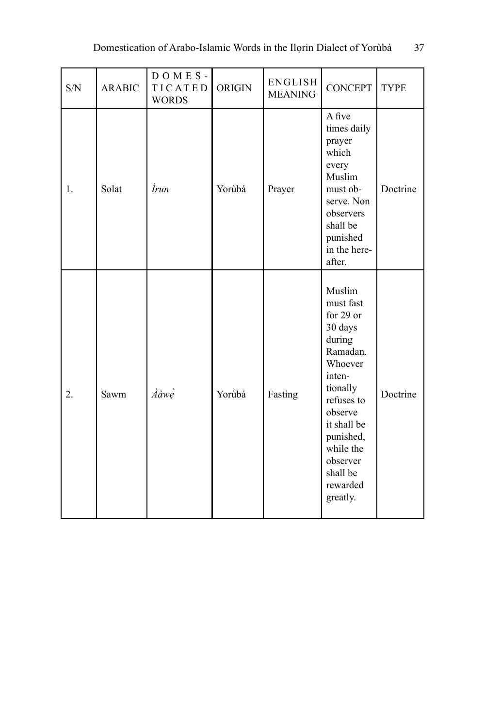| S/N | <b>ARABIC</b> | $D$ O M E S -<br>TICATED<br><b>WORDS</b> | <b>ORIGIN</b> | ENGLISH<br><b>MEANING</b> | <b>CONCEPT</b>                                                                                                                                                                                                       | <b>TYPE</b> |
|-----|---------------|------------------------------------------|---------------|---------------------------|----------------------------------------------------------------------------------------------------------------------------------------------------------------------------------------------------------------------|-------------|
| 1.  | Solat         | <i>Irun</i>                              | Yorùbá        | Prayer                    | A five<br>times daily<br>prayer<br>which<br>every<br>Muslim<br>must ob-<br>serve. Non<br>observers<br>shall be<br>punished<br>in the here-<br>after.                                                                 | Doctrine    |
| 2.  | Sawm          | Ààwe                                     | Yorùbá        | Fasting                   | Muslim<br>must fast<br>for 29 or<br>30 days<br>during<br>Ramadan.<br>Whoever<br>inten-<br>tionally<br>refuses to<br>observe<br>it shall be<br>punished,<br>while the<br>observer<br>shall be<br>rewarded<br>greatly. | Doctrine    |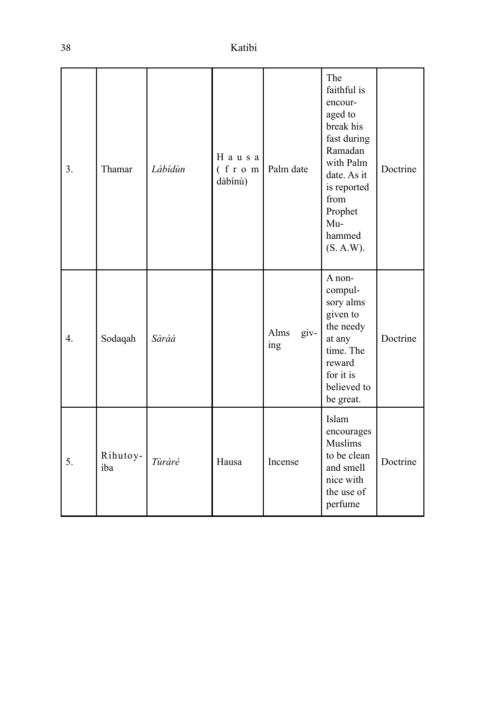| 3. | Thamar          | Làbídùn | Hausa<br>(f r o m<br>dàbínù) | Palm date           | The<br>faithful is<br>encour-<br>aged to<br>break his<br>fast during<br>Ramadan<br>with Palm<br>date. As it<br>is reported<br>from<br>Prophet<br>Mu-<br>hammed<br>(S. A.W). | Doctrine |
|----|-----------------|---------|------------------------------|---------------------|-----------------------------------------------------------------------------------------------------------------------------------------------------------------------------|----------|
| 4. | Sodaqah         | Sàráà   |                              | giv-<br>Alms<br>ing | A non-<br>compul-<br>sory alms<br>given to<br>the needy<br>at any<br>time. The<br>reward<br>for it is<br>believed to<br>be great.                                           | Doctrine |
| 5. | Rihutoy-<br>iba | Tùràré  | Hausa                        | Incense             | Islam<br>encourages<br>Muslims<br>to be clean<br>and smell<br>nice with<br>the use of<br>perfume                                                                            | Doctrine |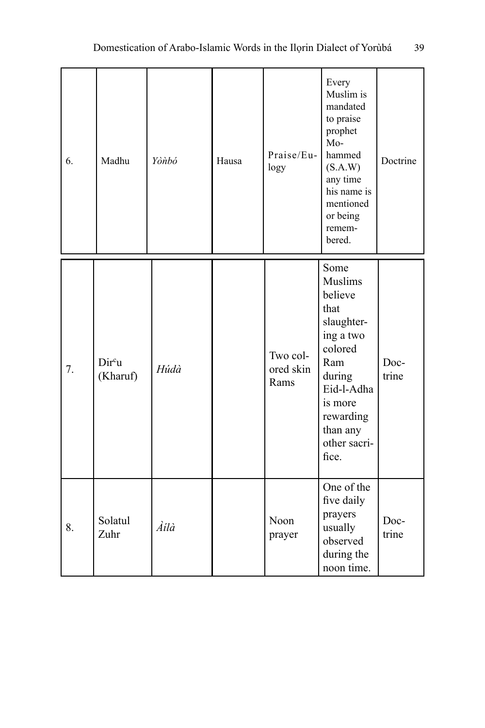| 6. | Madhu             | Yònbó | Hausa | Praise/Eu-<br>logy            | Every<br>Muslim is<br>mandated<br>to praise<br>prophet<br>$Mo-$<br>hammed<br>(S.A.W)<br>any time<br>his name is<br>mentioned<br>or being<br>remem-<br>bered.         | Doctrine      |
|----|-------------------|-------|-------|-------------------------------|----------------------------------------------------------------------------------------------------------------------------------------------------------------------|---------------|
| 7. | Dircu<br>(Kharuf) | Húdà  |       | Two col-<br>ored skin<br>Rams | Some<br>Muslims<br>believe<br>that<br>slaughter-<br>ing a two<br>colored<br>Ram<br>during<br>Eid-l-Adha<br>is more<br>rewarding<br>than any<br>other sacri-<br>fice. | Doc-<br>trine |
| 8. | Solatul<br>Zuhr   | Àilà  |       | Noon<br>prayer                | One of the<br>five daily<br>prayers<br>usually<br>observed<br>during the<br>noon time.                                                                               | Doc-<br>trine |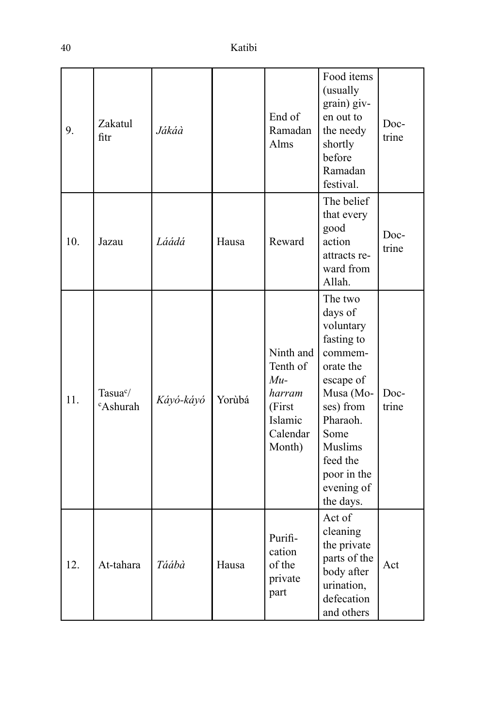| 9.  | Zakatul<br>fitr                              | Jákáà     |        | End of<br>Ramadan<br>Alms                                                           | Food items<br>(usually<br>grain) giv-<br>en out to<br>the needy<br>shortly<br>before<br>Ramadan<br>festival.                                                                                             | Doc-<br>trine |
|-----|----------------------------------------------|-----------|--------|-------------------------------------------------------------------------------------|----------------------------------------------------------------------------------------------------------------------------------------------------------------------------------------------------------|---------------|
| 10. | Jazau                                        | Láádá     | Hausa  | Reward                                                                              | The belief<br>that every<br>good<br>action<br>attracts re-<br>ward from<br>Allah.                                                                                                                        | Doc-<br>trine |
| 11. | Tasua <sup>c</sup> /<br><sup>c</sup> Ashurah | Káyó-káyó | Yorùbá | Ninth and<br>Tenth of<br>$Mu-$<br>harram<br>(First<br>Islamic<br>Calendar<br>Month) | The two<br>days of<br>voluntary<br>fasting to<br>commem-<br>orate the<br>escape of<br>Musa (Mo-<br>ses) from<br>Pharaoh.<br>Some<br><b>Muslims</b><br>feed the<br>poor in the<br>evening of<br>the days. | Doc-<br>trine |
| 12. | At-tahara                                    | Táábà     | Hausa  | Purifi-<br>cation<br>of the<br>private<br>part                                      | Act of<br>cleaning<br>the private<br>parts of the<br>body after<br>urination,<br>defecation<br>and others                                                                                                | Act           |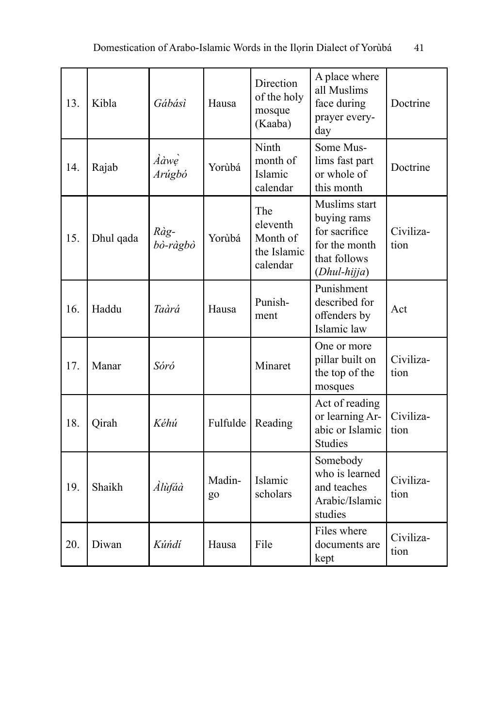| 13. | Kibla     | Gábásì           | Hausa        | Direction<br>of the holy<br>mosque<br>(Kaaba)          | A place where<br>all Muslims<br>face during<br>prayer every-<br>day                            | Doctrine          |
|-----|-----------|------------------|--------------|--------------------------------------------------------|------------------------------------------------------------------------------------------------|-------------------|
| 14. | Rajab     | Ààwe<br>Arúgbó   | Yorùbá       | Ninth<br>month of<br>Islamic<br>calendar               | Some Mus-<br>lims fast part<br>or whole of<br>this month                                       | Doctrine          |
| 15. | Dhul qada | Ràg-<br>bò-ràgbò | Yorùbá       | The<br>eleventh<br>Month of<br>the Islamic<br>calendar | Muslims start<br>buying rams<br>for sacrifice<br>for the month<br>that follows<br>(Dhul-hijja) | Civiliza-<br>tion |
| 16. | Haddu     | Taàrá            | Hausa        | Punish-<br>ment                                        | Punishment<br>described for<br>offenders by<br>Islamic law                                     | Act               |
| 17. | Manar     | Sóró             |              | Minaret                                                | One or more<br>pillar built on<br>the top of the<br>mosques                                    | Civiliza-<br>tion |
| 18. | Qirah     | Kéhú             | Fulfulde     | Reading                                                | Act of reading<br>or learning Ar-<br>abic or Islamic<br><b>Studies</b>                         | Civiliza-<br>tion |
| 19. | Shaikh    | Àlùfáà           | Madin-<br>go | Islamic<br>scholars                                    | Somebody<br>who is learned<br>and teaches<br>Arabic/Islamic<br>studies                         | Civiliza-<br>tion |
| 20. | Diwan     | Kúńdí            | Hausa        | File                                                   | Files where<br>documents are<br>kept                                                           | Civiliza-<br>tion |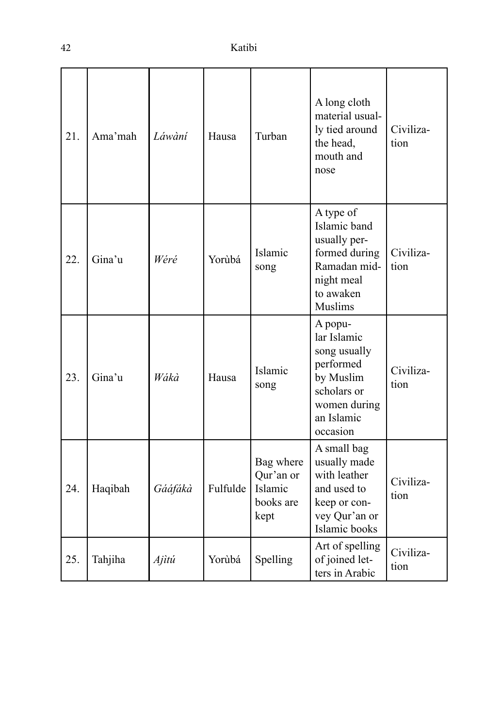| 21. | Ama'mah | Láwàní  | Hausa    | Turban                                                 | A long cloth<br>material usual-<br>ly tied around<br>the head,<br>mouth and<br>nose                                       | Civiliza-<br>tion |
|-----|---------|---------|----------|--------------------------------------------------------|---------------------------------------------------------------------------------------------------------------------------|-------------------|
| 22. | Gina'u  | Wéré    | Yorùbá   | Islamic<br>song                                        | A type of<br>Islamic band<br>usually per-<br>formed during<br>Ramadan mid-<br>night meal<br>to awaken<br>Muslims          | Civiliza-<br>tion |
| 23. | Gina'u  | Wákà    | Hausa    | Islamic<br>song                                        | A popu-<br>lar Islamic<br>song usually<br>performed<br>by Muslim<br>scholars or<br>women during<br>an Islamic<br>occasion | Civiliza-<br>tion |
| 24. | Haqibah | Gááfákà | Fulfulde | Bag where<br>Qur'an or<br>Islamic<br>books are<br>kept | A small bag<br>usually made<br>with leather<br>and used to<br>keep or con-<br>vey Qur'an or<br>Islamic books              | Civiliza-<br>tion |
| 25. | Tahjiha | Ajìtú   | Yorùbá   | Spelling                                               | Art of spelling<br>of joined let-<br>ters in Arabic                                                                       | Civiliza-<br>tion |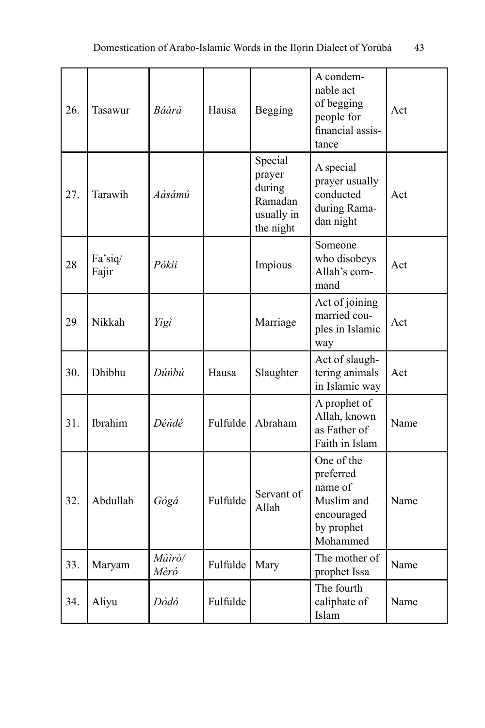| 26. | Tasawur          | Báárà          | Hausa    | Begging                                                           | A condem-<br>nable act<br>of begging<br>people for<br>financial assis-<br>tance          | Act  |
|-----|------------------|----------------|----------|-------------------------------------------------------------------|------------------------------------------------------------------------------------------|------|
| 27. | Tarawih          | Aásámú         |          | Special<br>prayer<br>during<br>Ramadan<br>usually in<br>the night | A special<br>prayer usually<br>conducted<br>during Rama-<br>dan night                    | Act  |
| 28  | Fa'siq/<br>Fajir | Pòkíì          |          | Impious                                                           | Someone<br>who disobeys<br>Allah's com-<br>mand                                          | Act  |
| 29  | Nikkah           | Yìgì           |          | Marriage                                                          | Act of joining<br>married cou-<br>ples in Islamic<br>way                                 | Act  |
| 30. | Dhibhu           | Dúnbú          | Hausa    | Slaughter                                                         | Act of slaugh-<br>tering animals<br>in Islamic way                                       | Act  |
| 31. | Ibrahim          | Déńdè          | Fulfulde | Abraham                                                           | A prophet of<br>Allah, known<br>as Father of<br>Faith in Islam                           | Name |
| 32. | Abdullah         | Gógá           | Fulfulde | Servant of<br>Allah                                               | One of the<br>preferred<br>name of<br>Muslim and<br>encouraged<br>by prophet<br>Mohammed | Name |
| 33. | Maryam           | Màìró/<br>Mèró | Fulfulde | Mary                                                              | The mother of<br>prophet Issa                                                            | Name |
| 34. | Aliyu            | Dòdó           | Fulfulde |                                                                   | The fourth<br>caliphate of<br>Islam                                                      | Name |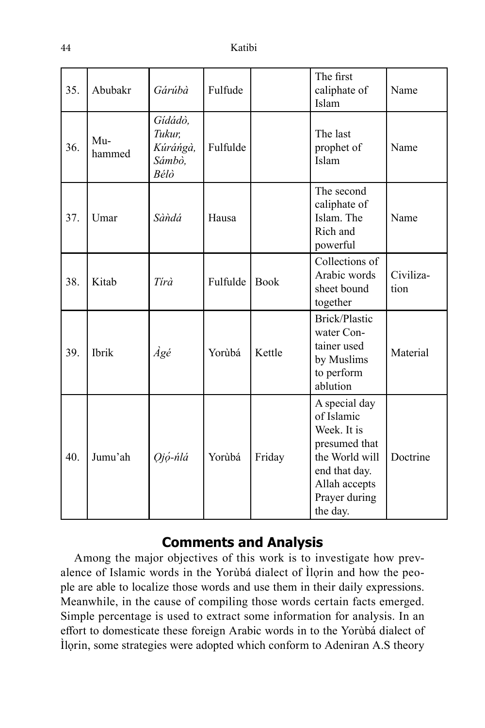| 35. | Abubakr       | Gárúbà                                          | Fulfude  |             | The first<br>caliphate of<br>Islam                                                                                                           | Name              |
|-----|---------------|-------------------------------------------------|----------|-------------|----------------------------------------------------------------------------------------------------------------------------------------------|-------------------|
| 36. | Mu-<br>hammed | Gídádò,<br>Tukur,<br>Kúráńgà,<br>Sámbò,<br>Bélò | Fulfulde |             | The last<br>prophet of<br>Islam                                                                                                              | Name              |
| 37. | Umar          | Sàndá                                           | Hausa    |             | The second<br>caliphate of<br>Islam. The<br>Rich and<br>powerful                                                                             | Name              |
| 38. | Kitab         | Tírà                                            | Fulfulde | <b>Book</b> | Collections of<br>Arabic words<br>sheet bound<br>together                                                                                    | Civiliza-<br>tion |
| 39. | Ibrik         | Àgé                                             | Yorùbá   | Kettle      | Brick/Plastic<br>water Con-<br>tainer used<br>by Muslims<br>to perform<br>ablution                                                           | Material          |
| 40. | Jumu'ah       | Ojó-ńlá                                         | Yorùbá   | Friday      | A special day<br>of Islamic<br>Week. It is<br>presumed that<br>the World will<br>end that day.<br>Allah accepts<br>Prayer during<br>the day. | Doctrine          |

# **Comments and Analysis**

Among the major objectives of this work is to investigate how prevalence of Islamic words in the Yorùbá dialect of Ìlọrin and how the people are able to localize those words and use them in their daily expressions. Meanwhile, in the cause of compiling those words certain facts emerged. Simple percentage is used to extract some information for analysis. In an effort to domesticate these foreign Arabic words in to the Yorùbá dialect of Ìlọrin, some strategies were adopted which conform to Adeniran A.S theory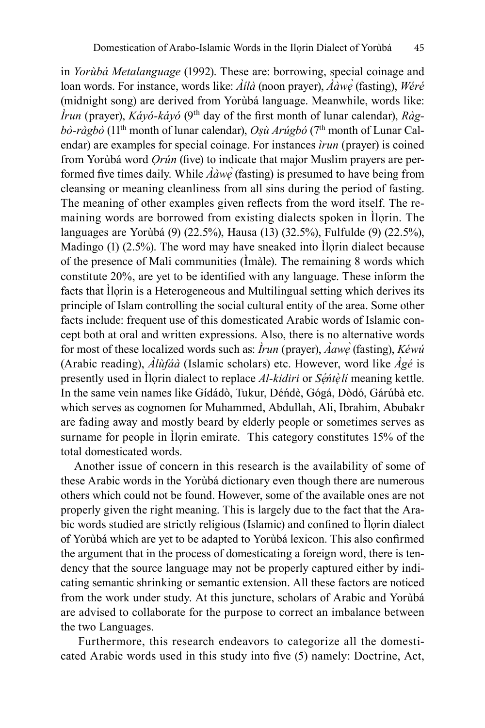in *Yorùbá Metalanguage* (1992). These are: borrowing, special coinage and loan words. For instance, words like: *Àílà* (noon prayer), *Ààwẹ* (fasting), *̀ Wéré* (midnight song) are derived from Yorùbá language. Meanwhile, words like: *Ìrun* (prayer), *Káyó-káyó* (9th day of the first month of lunar calendar), *Ràgbò-ràgbò* (11th month of lunar calendar), *Oṣù Arúgbó* (7th month of Lunar Calendar) are examples for special coinage. For instances *ìrun* (prayer) is coined from Yorùbá word *Ọrún* (five) to indicate that major Muslim prayers are performed five times daily. While *Ààwẹ* (fasting) is presumed to have being from *̀* cleansing or meaning cleanliness from all sins during the period of fasting. The meaning of other examples given reflects from the word itself. The remaining words are borrowed from existing dialects spoken in Ìlọrin. The languages are Yorùbá (9) (22.5%), Hausa (13) (32.5%), Fulfulde (9) (22.5%), Madingo (1) (2.5%). The word may have sneaked into Ìlọrin dialect because of the presence of Mali communities (Ìmàle). The remaining 8 words which constitute 20%, are yet to be identified with any language. These inform the facts that Ìlọrin is a Heterogeneous and Multilingual setting which derives its principle of Islam controlling the social cultural entity of the area. Some other facts include: frequent use of this domesticated Arabic words of Islamic concept both at oral and written expressions. Also, there is no alternative words for most of these localized words such as: *Ìrun* (prayer), *Àawẹ* (fasting), *̀ Kéwú* (Arabic reading), *Àlùfáà* (Islamic scholars) etc. However, word like *Àgé* is presently used in Ìlọrin dialect to replace *Al-kidiri* or *Sẹ́ ńtẹ̀lí* meaning kettle. In the same vein names like Gídádò, Tukur, Déńdè, Gógá, Dòdó, Gárúbà etc. which serves as cognomen for Muhammed, Abdullah, Ali, Ibrahim, Abubakr are fading away and mostly beard by elderly people or sometimes serves as surname for people in Ìlọrin emirate. This category constitutes 15% of the total domesticated words.

Another issue of concern in this research is the availability of some of these Arabic words in the Yorùbá dictionary even though there are numerous others which could not be found. However, some of the available ones are not properly given the right meaning. This is largely due to the fact that the Arabic words studied are strictly religious (Islamic) and confined to Ìlọrin dialect of Yorùbá which are yet to be adapted to Yorùbá lexicon. This also confirmed the argument that in the process of domesticating a foreign word, there is tendency that the source language may not be properly captured either by indicating semantic shrinking or semantic extension. All these factors are noticed from the work under study. At this juncture, scholars of Arabic and Yorùbá are advised to collaborate for the purpose to correct an imbalance between the two Languages.

 Furthermore, this research endeavors to categorize all the domesticated Arabic words used in this study into five (5) namely: Doctrine, Act,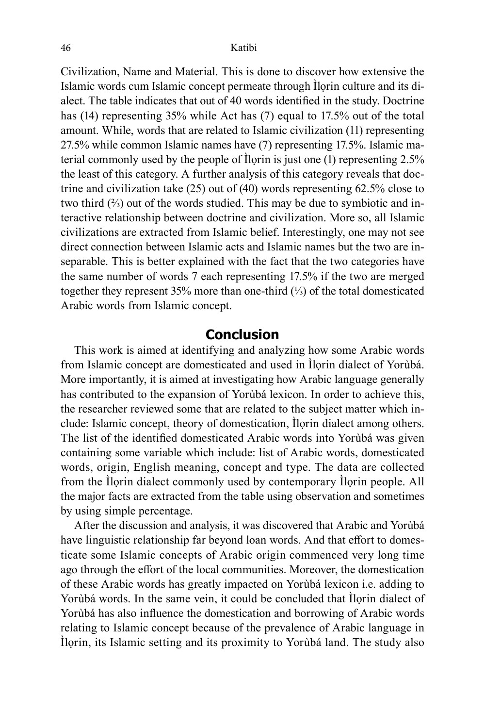Civilization, Name and Material. This is done to discover how extensive the Islamic words cum Islamic concept permeate through Ilorin culture and its dialect. The table indicates that out of 40 words identified in the study. Doctrine has (14) representing 35% while Act has (7) equal to 17.5% out of the total amount. While, words that are related to Islamic civilization (11) representing 27.5% while common Islamic names have (7) representing 17.5%. Islamic material commonly used by the people of Ìlọrin is just one (1) representing 2.5% the least of this category. A further analysis of this category reveals that doctrine and civilization take (25) out of (40) words representing 62.5% close to two third (⅔) out of the words studied. This may be due to symbiotic and interactive relationship between doctrine and civilization. More so, all Islamic civilizations are extracted from Islamic belief. Interestingly, one may not see direct connection between Islamic acts and Islamic names but the two are inseparable. This is better explained with the fact that the two categories have the same number of words 7 each representing 17.5% if the two are merged together they represent 35% more than one-third (⅓) of the total domesticated Arabic words from Islamic concept.

### **Conclusion**

This work is aimed at identifying and analyzing how some Arabic words from Islamic concept are domesticated and used in Ìlọrin dialect of Yorùbá. More importantly, it is aimed at investigating how Arabic language generally has contributed to the expansion of Yorùbá lexicon. In order to achieve this, the researcher reviewed some that are related to the subject matter which include: Islamic concept, theory of domestication, Ìlọrin dialect among others. The list of the identified domesticated Arabic words into Yorùbá was given containing some variable which include: list of Arabic words, domesticated words, origin, English meaning, concept and type. The data are collected from the Ìlọrin dialect commonly used by contemporary Ìlọrin people. All the major facts are extracted from the table using observation and sometimes by using simple percentage.

After the discussion and analysis, it was discovered that Arabic and Yorùbá have linguistic relationship far beyond loan words. And that effort to domesticate some Islamic concepts of Arabic origin commenced very long time ago through the effort of the local communities. Moreover, the domestication of these Arabic words has greatly impacted on Yorùbá lexicon i.e. adding to Yorùbá words. In the same vein, it could be concluded that Ilorin dialect of Yorùbá has also influence the domestication and borrowing of Arabic words relating to Islamic concept because of the prevalence of Arabic language in Ìlọrin, its Islamic setting and its proximity to Yorùbá land. The study also